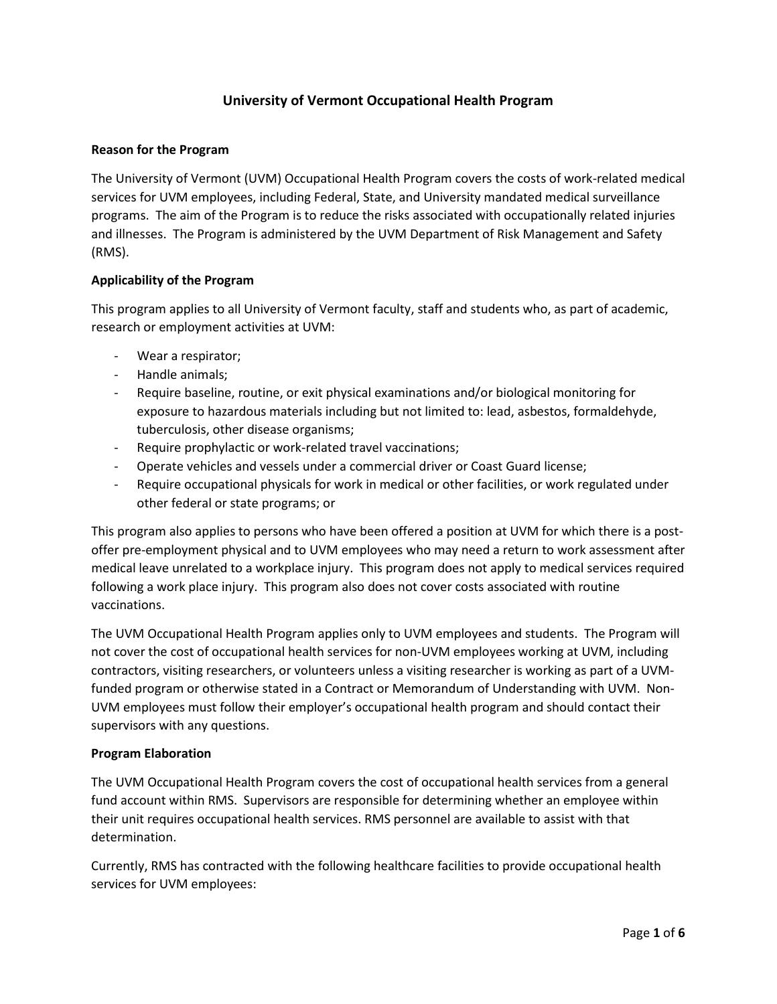# **University of Vermont Occupational Health Program**

#### **Reason for the Program**

The University of Vermont (UVM) Occupational Health Program covers the costs of work-related medical services for UVM employees, including Federal, State, and University mandated medical surveillance programs. The aim of the Program is to reduce the risks associated with occupationally related injuries and illnesses. The Program is administered by the UVM Department of Risk Management and Safety (RMS).

#### **Applicability of the Program**

This program applies to all University of Vermont faculty, staff and students who, as part of academic, research or employment activities at UVM:

- Wear a respirator;
- Handle animals;
- Require baseline, routine, or exit physical examinations and/or biological monitoring for exposure to hazardous materials including but not limited to: lead, asbestos, formaldehyde, tuberculosis, other disease organisms;
- Require prophylactic or work-related travel vaccinations;
- Operate vehicles and vessels under a commercial driver or Coast Guard license;
- Require occupational physicals for work in medical or other facilities, or work regulated under other federal or state programs; or

This program also applies to persons who have been offered a position at UVM for which there is a postoffer pre-employment physical and to UVM employees who may need a return to work assessment after medical leave unrelated to a workplace injury. This program does not apply to medical services required following a work place injury. This program also does not cover costs associated with routine vaccinations.

The UVM Occupational Health Program applies only to UVM employees and students. The Program will not cover the cost of occupational health services for non-UVM employees working at UVM, including contractors, visiting researchers, or volunteers unless a visiting researcher is working as part of a UVMfunded program or otherwise stated in a Contract or Memorandum of Understanding with UVM. Non-UVM employees must follow their employer's occupational health program and should contact their supervisors with any questions.

#### **Program Elaboration**

The UVM Occupational Health Program covers the cost of occupational health services from a general fund account within RMS. Supervisors are responsible for determining whether an employee within their unit requires occupational health services. RMS personnel are available to assist with that determination.

Currently, RMS has contracted with the following healthcare facilities to provide occupational health services for UVM employees: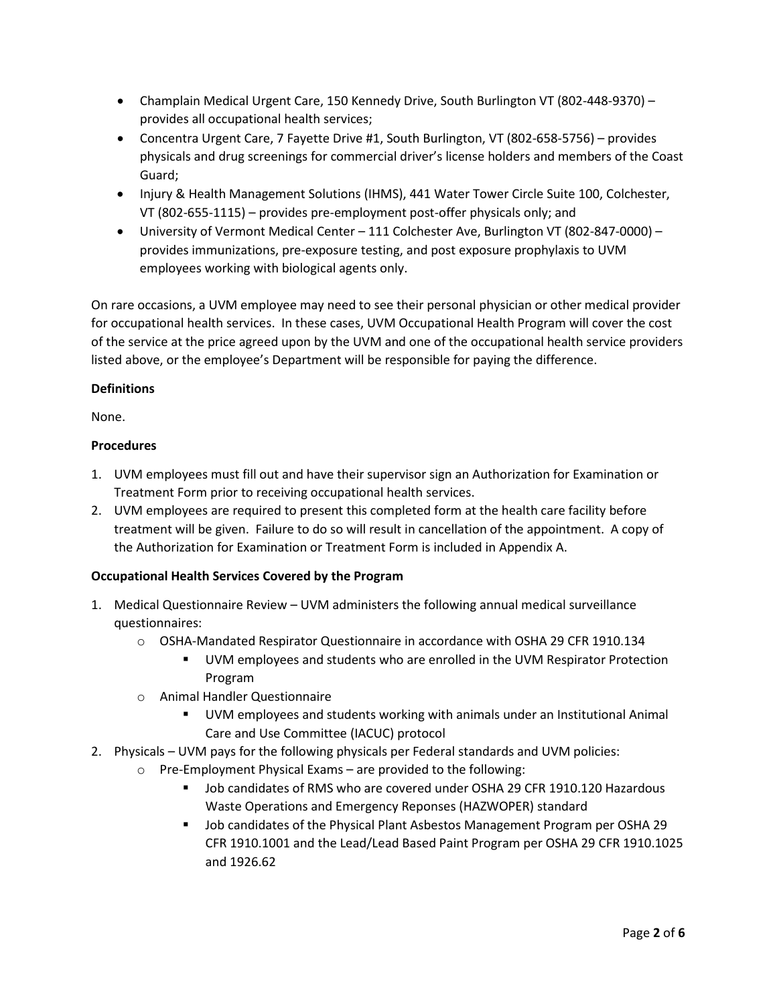- Champlain Medical Urgent Care, 150 Kennedy Drive, South Burlington VT (802-448-9370) provides all occupational health services;
- Concentra Urgent Care, 7 Fayette Drive #1, South Burlington, VT (802-658-5756) provides physicals and drug screenings for commercial driver's license holders and members of the Coast Guard;
- Injury & Health Management Solutions (IHMS), 441 Water Tower Circle Suite 100, Colchester, VT (802-655-1115) – provides pre-employment post-offer physicals only; and
- University of Vermont Medical Center 111 Colchester Ave, Burlington VT (802-847-0000) provides immunizations, pre-exposure testing, and post exposure prophylaxis to UVM employees working with biological agents only.

On rare occasions, a UVM employee may need to see their personal physician or other medical provider for occupational health services. In these cases, UVM Occupational Health Program will cover the cost of the service at the price agreed upon by the UVM and one of the occupational health service providers listed above, or the employee's Department will be responsible for paying the difference.

## **Definitions**

None.

## **Procedures**

- 1. UVM employees must fill out and have their supervisor sign an Authorization for Examination or Treatment Form prior to receiving occupational health services.
- 2. UVM employees are required to present this completed form at the health care facility before treatment will be given. Failure to do so will result in cancellation of the appointment. A copy of the Authorization for Examination or Treatment Form is included in Appendix A.

## **Occupational Health Services Covered by the Program**

- 1. Medical Questionnaire Review UVM administers the following annual medical surveillance questionnaires:
	- o OSHA-Mandated Respirator Questionnaire in accordance with OSHA 29 CFR 1910.134
		- UVM employees and students who are enrolled in the UVM Respirator Protection Program
	- o Animal Handler Questionnaire
		- UVM employees and students working with animals under an Institutional Animal Care and Use Committee (IACUC) protocol
- 2. Physicals UVM pays for the following physicals per Federal standards and UVM policies:
	- o Pre-Employment Physical Exams are provided to the following:
		- Job candidates of RMS who are covered under OSHA 29 CFR 1910.120 Hazardous Waste Operations and Emergency Reponses (HAZWOPER) standard
		- Job candidates of the Physical Plant Asbestos Management Program per OSHA 29 CFR 1910.1001 and the Lead/Lead Based Paint Program per OSHA 29 CFR 1910.1025 and 1926.62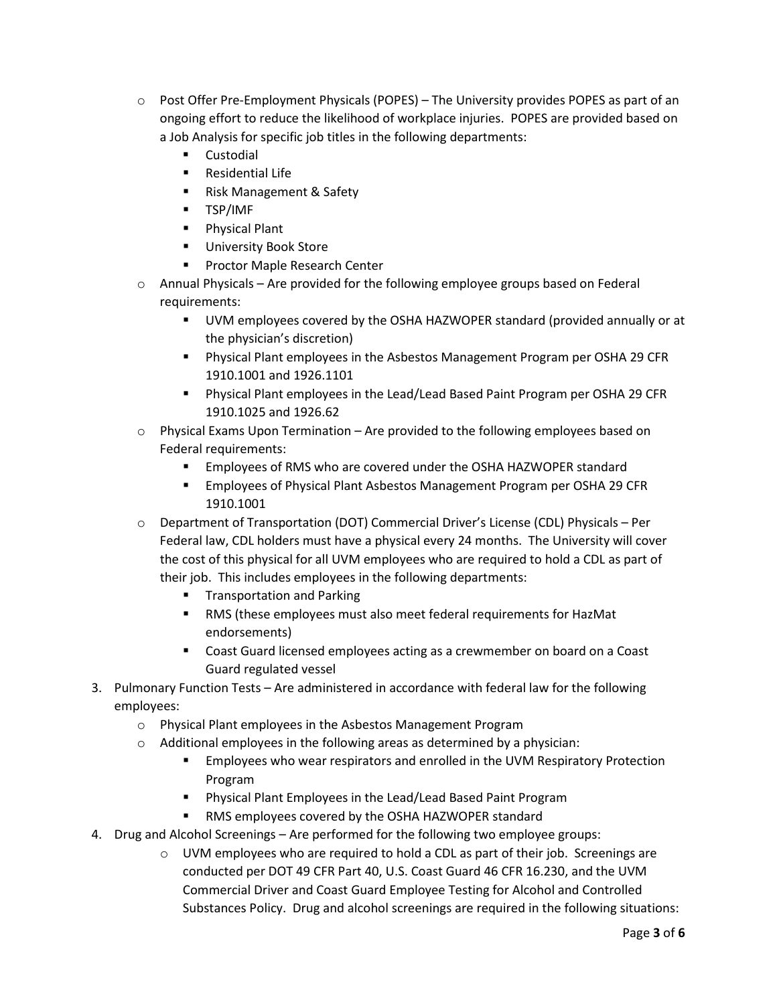- o Post Offer Pre-Employment Physicals (POPES) The University provides POPES as part of an ongoing effort to reduce the likelihood of workplace injuries. POPES are provided based on a Job Analysis for specific job titles in the following departments:
	- **Custodial**
	- **Residential Life**
	- Risk Management & Safety
	- **TSP/IMF**
	- **Physical Plant**
	- **University Book Store**
	- **Proctor Maple Research Center**
- $\circ$  Annual Physicals Are provided for the following employee groups based on Federal requirements:
	- UVM employees covered by the OSHA HAZWOPER standard (provided annually or at the physician's discretion)
	- Physical Plant employees in the Asbestos Management Program per OSHA 29 CFR 1910.1001 and 1926.1101
	- Physical Plant employees in the Lead/Lead Based Paint Program per OSHA 29 CFR 1910.1025 and 1926.62
- $\circ$  Physical Exams Upon Termination Are provided to the following employees based on Federal requirements:
	- Employees of RMS who are covered under the OSHA HAZWOPER standard
	- Employees of Physical Plant Asbestos Management Program per OSHA 29 CFR 1910.1001
- o Department of Transportation (DOT) Commercial Driver's License (CDL) Physicals Per Federal law, CDL holders must have a physical every 24 months. The University will cover the cost of this physical for all UVM employees who are required to hold a CDL as part of their job. This includes employees in the following departments:
	- **Transportation and Parking**
	- RMS (these employees must also meet federal requirements for HazMat endorsements)
	- **Coast Guard licensed employees acting as a crewmember on board on a Coast** Guard regulated vessel
- 3. Pulmonary Function Tests Are administered in accordance with federal law for the following employees:
	- o Physical Plant employees in the Asbestos Management Program
	- $\circ$  Additional employees in the following areas as determined by a physician:
		- Employees who wear respirators and enrolled in the UVM Respiratory Protection Program
		- Physical Plant Employees in the Lead/Lead Based Paint Program
		- RMS employees covered by the OSHA HAZWOPER standard
- 4. Drug and Alcohol Screenings Are performed for the following two employee groups:
	- $\circ$  UVM employees who are required to hold a CDL as part of their job. Screenings are conducted per DOT 49 CFR Part 40, U.S. Coast Guard 46 CFR 16.230, and the UVM Commercial Driver and Coast Guard Employee Testing for Alcohol and Controlled Substances Policy. Drug and alcohol screenings are required in the following situations: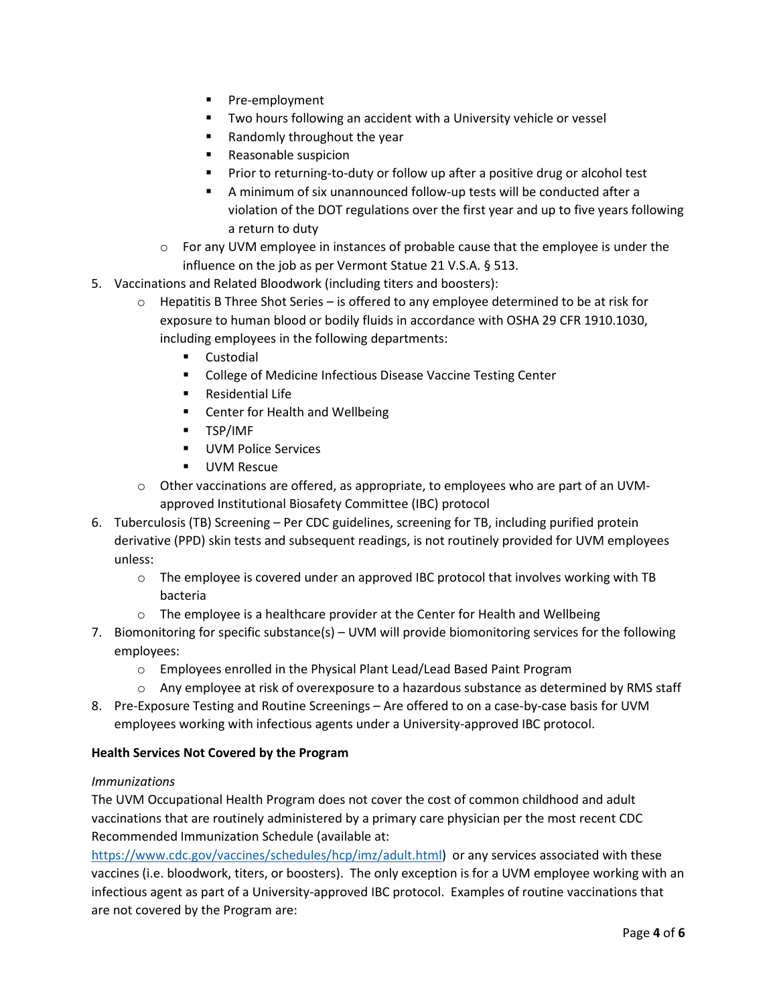- **Pre-employment**
- **TWO hours following an accident with a University vehicle or vessel**
- $\blacksquare$  Randomly throughout the year
- **Reasonable suspicion**
- **Prior to returning-to-duty or follow up after a positive drug or alcohol test**
- A minimum of six unannounced follow-up tests will be conducted after a violation of the DOT regulations over the first year and up to five years following a return to duty
- o For any UVM employee in instances of probable cause that the employee is under the influence on the job as per Vermont Statue 21 V.S.A. § 513.
- 5. Vaccinations and Related Bloodwork (including titers and boosters):
	- $\circ$  Hepatitis B Three Shot Series is offered to any employee determined to be at risk for exposure to human blood or bodily fluids in accordance with OSHA 29 CFR 1910.1030, including employees in the following departments:
		- **Custodial**
		- **College of Medicine Infectious Disease Vaccine Testing Center**
		- **Residential Life**
		- **EXEC** Center for Health and Wellbeing
		- **TSP/IMF**
		- **UVM Police Services**
		- **UVM Rescue**
	- $\circ$  Other vaccinations are offered, as appropriate, to employees who are part of an UVMapproved Institutional Biosafety Committee (IBC) protocol
- 6. Tuberculosis (TB) Screening Per CDC guidelines, screening for TB, including purified protein derivative (PPD) skin tests and subsequent readings, is not routinely provided for UVM employees unless:
	- $\circ$  The employee is covered under an approved IBC protocol that involves working with TB bacteria
	- $\circ$  The employee is a healthcare provider at the Center for Health and Wellbeing
- 7. Biomonitoring for specific substance(s) UVM will provide biomonitoring services for the following employees:
	- o Employees enrolled in the Physical Plant Lead/Lead Based Paint Program
	- $\circ$  Any employee at risk of overexposure to a hazardous substance as determined by RMS staff
- 8. Pre-Exposure Testing and Routine Screenings Are offered to on a case-by-case basis for UVM employees working with infectious agents under a University-approved IBC protocol.

#### **Health Services Not Covered by the Program**

#### *Immunizations*

The UVM Occupational Health Program does not cover the cost of common childhood and adult vaccinations that are routinely administered by a primary care physician per the most recent CDC Recommended Immunization Schedule (available at:

[https://www.cdc.gov/vaccines/schedules/hcp/imz/adult.html\)](https://www.cdc.gov/vaccines/schedules/hcp/imz/adult.html) or any services associated with these vaccines (i.e. bloodwork, titers, or boosters). The only exception is for a UVM employee working with an infectious agent as part of a University-approved IBC protocol. Examples of routine vaccinations that are not covered by the Program are: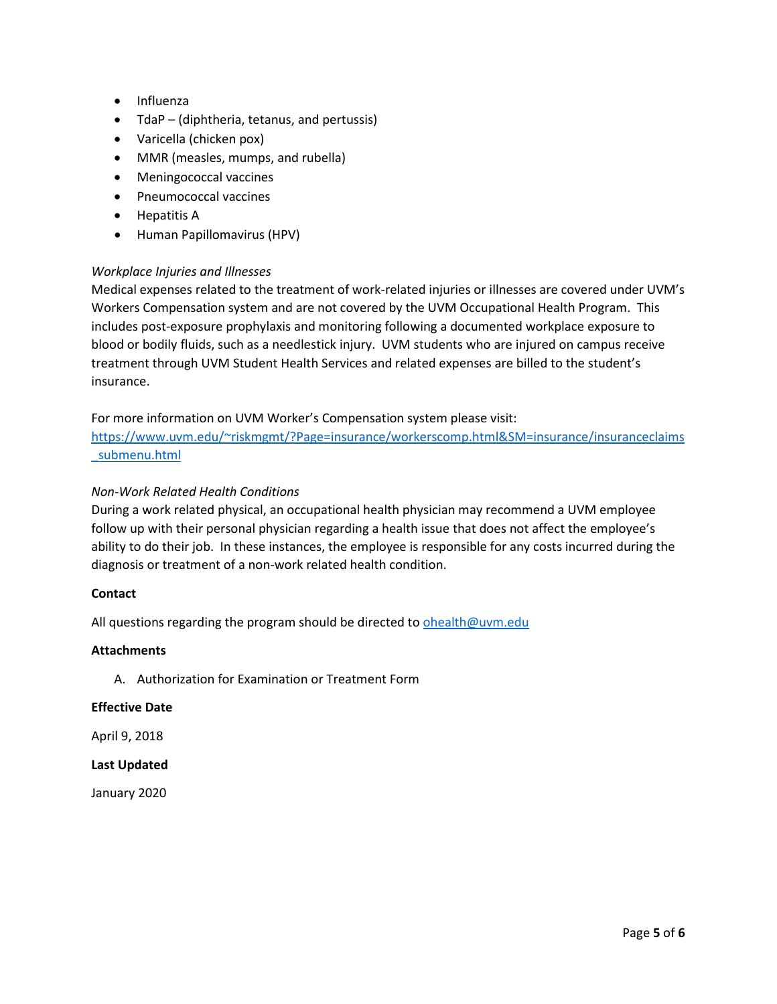- Influenza
- TdaP (diphtheria, tetanus, and pertussis)
- Varicella (chicken pox)
- MMR (measles, mumps, and rubella)
- Meningococcal vaccines
- Pneumococcal vaccines
- Hepatitis A
- Human Papillomavirus (HPV)

#### *Workplace Injuries and Illnesses*

Medical expenses related to the treatment of work-related injuries or illnesses are covered under UVM's Workers Compensation system and are not covered by the UVM Occupational Health Program. This includes post-exposure prophylaxis and monitoring following a documented workplace exposure to blood or bodily fluids, such as a needlestick injury. UVM students who are injured on campus receive treatment through UVM Student Health Services and related expenses are billed to the student's insurance.

For more information on UVM Worker's Compensation system please visit:

[https://www.uvm.edu/~riskmgmt/?Page=insurance/workerscomp.html&SM=insurance/insuranceclaims](https://www.uvm.edu/%7Eriskmgmt/?Page=insurance/workerscomp.html&SM=insurance/insuranceclaims_submenu.html) [\\_submenu.html](https://www.uvm.edu/%7Eriskmgmt/?Page=insurance/workerscomp.html&SM=insurance/insuranceclaims_submenu.html)

#### *Non-Work Related Health Conditions*

During a work related physical, an occupational health physician may recommend a UVM employee follow up with their personal physician regarding a health issue that does not affect the employee's ability to do their job. In these instances, the employee is responsible for any costs incurred during the diagnosis or treatment of a non-work related health condition.

#### **Contact**

All questions regarding the program should be directed to [ohealth@uvm.edu](mailto:ohealth@uvm.edu)

## **Attachments**

A. Authorization for Examination or Treatment Form

#### **Effective Date**

April 9, 2018

#### **Last Updated**

January 2020